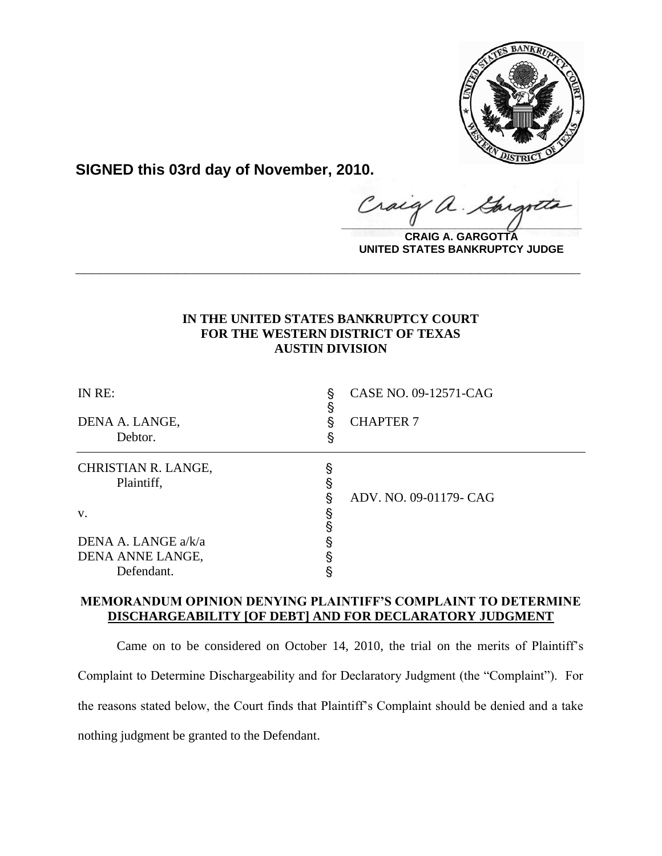

**SIGNED this 03rd day of November, 2010.**

raig  $\hat{\mu}$ .  $\frac{1}{2}$ 

**CRAIG A. GARGOTTA UNITED STATES BANKRUPTCY JUDGE**

## **IN THE UNITED STATES BANKRUPTCY COURT FOR THE WESTERN DISTRICT OF TEXAS AUSTIN DIVISION**

**\_\_\_\_\_\_\_\_\_\_\_\_\_\_\_\_\_\_\_\_\_\_\_\_\_\_\_\_\_\_\_\_\_\_\_\_\_\_\_\_\_\_\_\_\_\_\_\_\_\_\_\_\_\_\_\_\_\_\_\_**

| IN RE:                            | §<br>§ | CASE NO. 09-12571-CAG  |
|-----------------------------------|--------|------------------------|
| DENA A. LANGE,<br>Debtor.         | ş<br>ş | <b>CHAPTER 7</b>       |
| CHRISTIAN R. LANGE,<br>Plaintiff, | §      |                        |
| V.                                | ş<br>§ | ADV. NO. 09-01179- CAG |
| DENA A. LANGE a/k/a               | §      |                        |
| DENA ANNE LANGE,                  |        |                        |
| Defendant.                        |        |                        |

# **MEMORANDUM OPINION DENYING PLAINTIFF'S COMPLAINT TO DETERMINE DISCHARGEABILITY [OF DEBT] AND FOR DECLARATORY JUDGMENT**

Came on to be considered on October 14, 2010, the trial on the merits of Plaintiff's Complaint to Determine Dischargeability and for Declaratory Judgment (the "Complaint"). For the reasons stated below, the Court finds that Plaintiff's Complaint should be denied and a take nothing judgment be granted to the Defendant.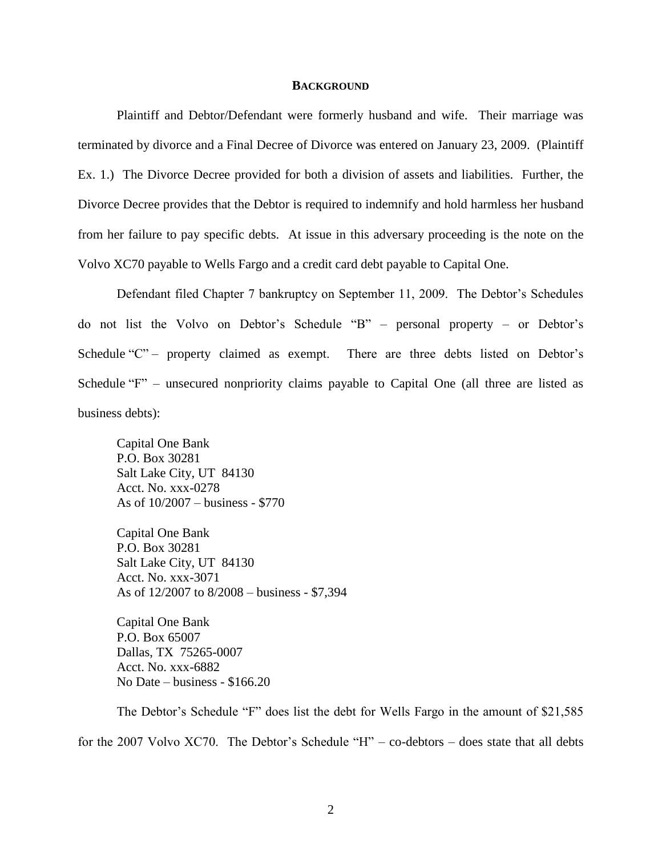### **BACKGROUND**

Plaintiff and Debtor/Defendant were formerly husband and wife. Their marriage was terminated by divorce and a Final Decree of Divorce was entered on January 23, 2009. (Plaintiff Ex. 1.) The Divorce Decree provided for both a division of assets and liabilities. Further, the Divorce Decree provides that the Debtor is required to indemnify and hold harmless her husband from her failure to pay specific debts. At issue in this adversary proceeding is the note on the Volvo XC70 payable to Wells Fargo and a credit card debt payable to Capital One.

Defendant filed Chapter 7 bankruptcy on September 11, 2009. The Debtor's Schedules do not list the Volvo on Debtor's Schedule "B" – personal property – or Debtor's Schedule "C" – property claimed as exempt. There are three debts listed on Debtor's Schedule "F" – unsecured nonpriority claims payable to Capital One (all three are listed as business debts):

Capital One Bank P.O. Box 30281 Salt Lake City, UT 84130 Acct. No. xxx-0278 As of 10/2007 – business - \$770

Capital One Bank P.O. Box 30281 Salt Lake City, UT 84130 Acct. No. xxx-3071 As of 12/2007 to 8/2008 – business - \$7,394

Capital One Bank P.O. Box 65007 Dallas, TX 75265-0007 Acct. No. xxx-6882 No Date – business - \$166.20

The Debtor's Schedule "F" does list the debt for Wells Fargo in the amount of \$21,585 for the 2007 Volvo XC70. The Debtor's Schedule "H" – co-debtors – does state that all debts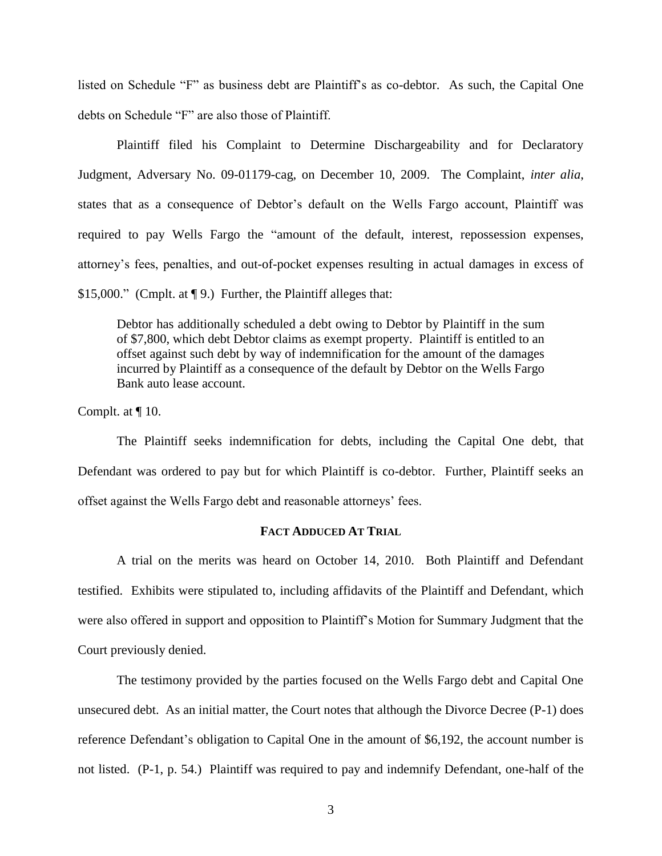listed on Schedule "F" as business debt are Plaintiff's as co-debtor. As such, the Capital One debts on Schedule "F" are also those of Plaintiff.

Plaintiff filed his Complaint to Determine Dischargeability and for Declaratory Judgment, Adversary No. 09-01179-cag, on December 10, 2009. The Complaint, *inter alia*, states that as a consequence of Debtor's default on the Wells Fargo account, Plaintiff was required to pay Wells Fargo the "amount of the default, interest, repossession expenses, attorney's fees, penalties, and out-of-pocket expenses resulting in actual damages in excess of \$15,000." (Cmplt. at ¶ 9.) Further, the Plaintiff alleges that:

Debtor has additionally scheduled a debt owing to Debtor by Plaintiff in the sum of \$7,800, which debt Debtor claims as exempt property. Plaintiff is entitled to an offset against such debt by way of indemnification for the amount of the damages incurred by Plaintiff as a consequence of the default by Debtor on the Wells Fargo Bank auto lease account.

Complt. at ¶ 10.

The Plaintiff seeks indemnification for debts, including the Capital One debt, that Defendant was ordered to pay but for which Plaintiff is co-debtor. Further, Plaintiff seeks an offset against the Wells Fargo debt and reasonable attorneys' fees.

## **FACT ADDUCED AT TRIAL**

A trial on the merits was heard on October 14, 2010. Both Plaintiff and Defendant testified. Exhibits were stipulated to, including affidavits of the Plaintiff and Defendant, which were also offered in support and opposition to Plaintiff's Motion for Summary Judgment that the Court previously denied.

The testimony provided by the parties focused on the Wells Fargo debt and Capital One unsecured debt. As an initial matter, the Court notes that although the Divorce Decree (P-1) does reference Defendant's obligation to Capital One in the amount of \$6,192, the account number is not listed. (P-1, p. 54.) Plaintiff was required to pay and indemnify Defendant, one-half of the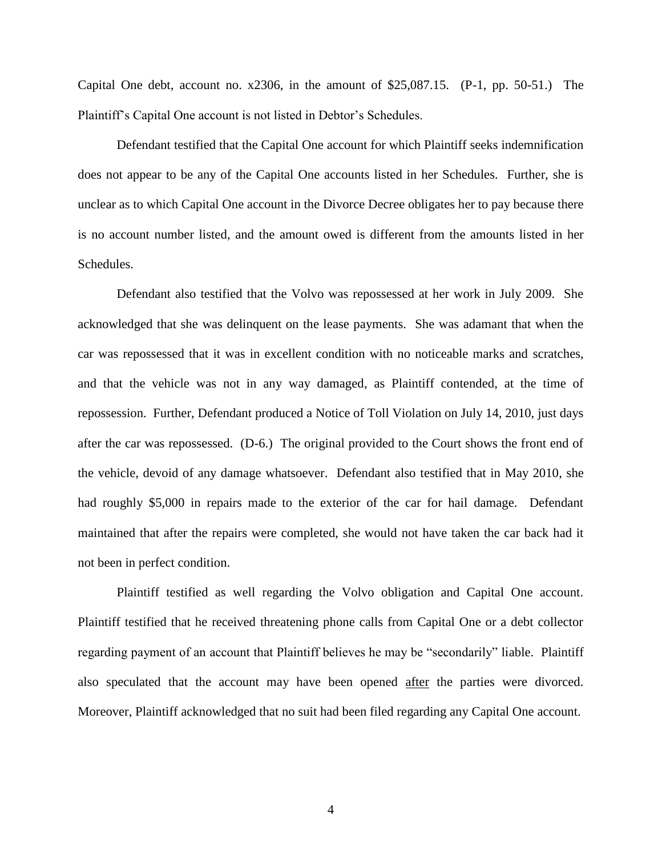Capital One debt, account no. x2306, in the amount of \$25,087.15. (P-1, pp. 50-51.) The Plaintiff's Capital One account is not listed in Debtor's Schedules.

Defendant testified that the Capital One account for which Plaintiff seeks indemnification does not appear to be any of the Capital One accounts listed in her Schedules. Further, she is unclear as to which Capital One account in the Divorce Decree obligates her to pay because there is no account number listed, and the amount owed is different from the amounts listed in her Schedules.

Defendant also testified that the Volvo was repossessed at her work in July 2009. She acknowledged that she was delinquent on the lease payments. She was adamant that when the car was repossessed that it was in excellent condition with no noticeable marks and scratches, and that the vehicle was not in any way damaged, as Plaintiff contended, at the time of repossession. Further, Defendant produced a Notice of Toll Violation on July 14, 2010, just days after the car was repossessed. (D-6.) The original provided to the Court shows the front end of the vehicle, devoid of any damage whatsoever. Defendant also testified that in May 2010, she had roughly \$5,000 in repairs made to the exterior of the car for hail damage. Defendant maintained that after the repairs were completed, she would not have taken the car back had it not been in perfect condition.

Plaintiff testified as well regarding the Volvo obligation and Capital One account. Plaintiff testified that he received threatening phone calls from Capital One or a debt collector regarding payment of an account that Plaintiff believes he may be "secondarily" liable. Plaintiff also speculated that the account may have been opened after the parties were divorced. Moreover, Plaintiff acknowledged that no suit had been filed regarding any Capital One account.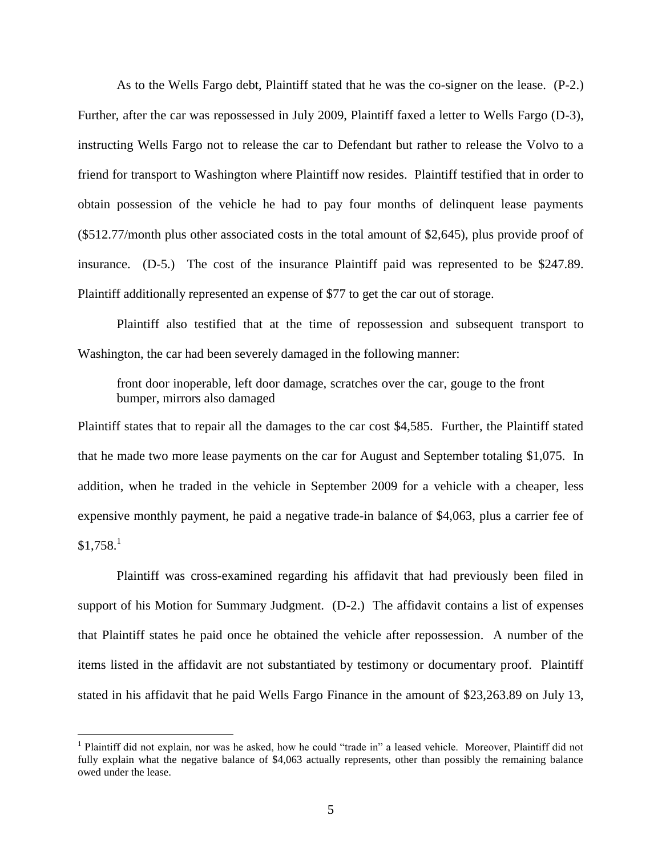As to the Wells Fargo debt, Plaintiff stated that he was the co-signer on the lease. (P-2.) Further, after the car was repossessed in July 2009, Plaintiff faxed a letter to Wells Fargo (D-3), instructing Wells Fargo not to release the car to Defendant but rather to release the Volvo to a friend for transport to Washington where Plaintiff now resides. Plaintiff testified that in order to obtain possession of the vehicle he had to pay four months of delinquent lease payments (\$512.77/month plus other associated costs in the total amount of \$2,645), plus provide proof of insurance. (D-5.) The cost of the insurance Plaintiff paid was represented to be \$247.89. Plaintiff additionally represented an expense of \$77 to get the car out of storage.

Plaintiff also testified that at the time of repossession and subsequent transport to Washington, the car had been severely damaged in the following manner:

front door inoperable, left door damage, scratches over the car, gouge to the front bumper, mirrors also damaged

Plaintiff states that to repair all the damages to the car cost \$4,585. Further, the Plaintiff stated that he made two more lease payments on the car for August and September totaling \$1,075. In addition, when he traded in the vehicle in September 2009 for a vehicle with a cheaper, less expensive monthly payment, he paid a negative trade-in balance of \$4,063, plus a carrier fee of  $$1,758<sup>1</sup>$ 

Plaintiff was cross-examined regarding his affidavit that had previously been filed in support of his Motion for Summary Judgment. (D-2.) The affidavit contains a list of expenses that Plaintiff states he paid once he obtained the vehicle after repossession. A number of the items listed in the affidavit are not substantiated by testimony or documentary proof. Plaintiff stated in his affidavit that he paid Wells Fargo Finance in the amount of \$23,263.89 on July 13,

 $\overline{a}$ 

<sup>&</sup>lt;sup>1</sup> Plaintiff did not explain, nor was he asked, how he could "trade in" a leased vehicle. Moreover, Plaintiff did not fully explain what the negative balance of \$4,063 actually represents, other than possibly the remaining balance owed under the lease.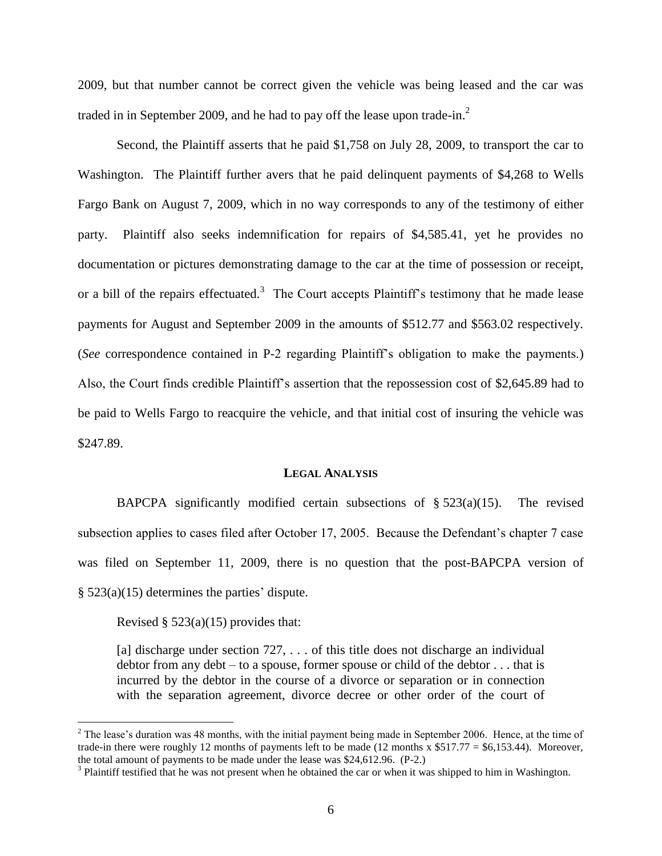2009, but that number cannot be correct given the vehicle was being leased and the car was traded in in September 2009, and he had to pay off the lease upon trade-in.<sup>2</sup>

Second, the Plaintiff asserts that he paid \$1,758 on July 28, 2009, to transport the car to Washington. The Plaintiff further avers that he paid delinquent payments of \$4,268 to Wells Fargo Bank on August 7, 2009, which in no way corresponds to any of the testimony of either party. Plaintiff also seeks indemnification for repairs of \$4,585.41, yet he provides no documentation or pictures demonstrating damage to the car at the time of possession or receipt, or a bill of the repairs effectuated.<sup>3</sup> The Court accepts Plaintiff's testimony that he made lease payments for August and September 2009 in the amounts of \$512.77 and \$563.02 respectively. (*See* correspondence contained in P-2 regarding Plaintiff's obligation to make the payments.) Also, the Court finds credible Plaintiff's assertion that the repossession cost of \$2,645.89 had to be paid to Wells Fargo to reacquire the vehicle, and that initial cost of insuring the vehicle was \$247.89.

#### **LEGAL ANALYSIS**

BAPCPA significantly modified certain subsections of  $\S 523(a)(15)$ . The revised subsection applies to cases filed after October 17, 2005. Because the Defendant's chapter 7 case was filed on September 11, 2009, there is no question that the post-BAPCPA version of § 523(a)(15) determines the parties' dispute.

Revised  $\S$  523(a)(15) provides that:

 $\overline{a}$ 

[a] discharge under section 727, ... of this title does not discharge an individual debtor from any debt – to a spouse, former spouse or child of the debtor . . . that is incurred by the debtor in the course of a divorce or separation or in connection with the separation agreement, divorce decree or other order of the court of

 $2^2$  The lease's duration was 48 months, with the initial payment being made in September 2006. Hence, at the time of trade-in there were roughly 12 months of payments left to be made (12 months x  $$517.77 = $6,153.44$ ). Moreover, the total amount of payments to be made under the lease was \$24,612.96. (P-2.)

 $3$  Plaintiff testified that he was not present when he obtained the car or when it was shipped to him in Washington.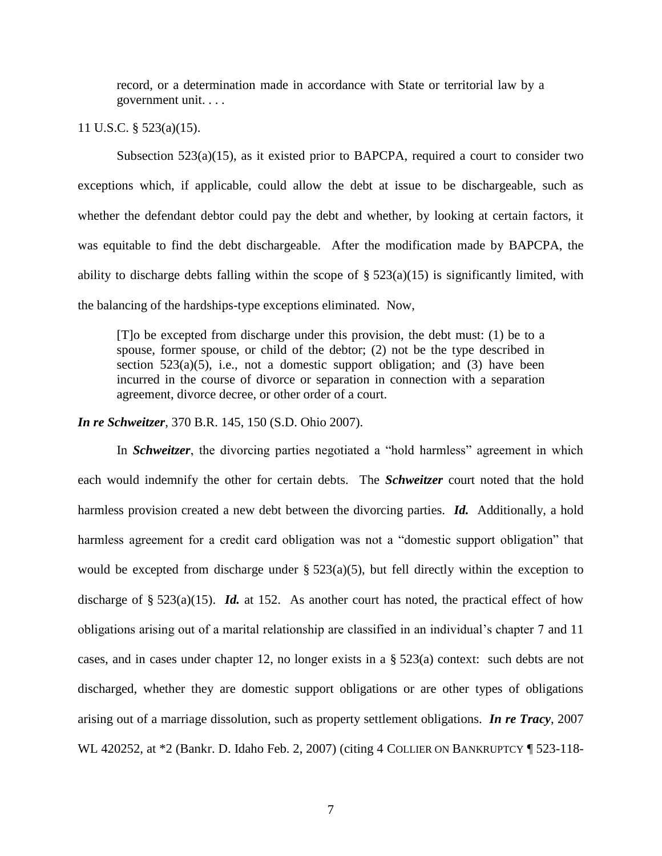record, or a determination made in accordance with State or territorial law by a government unit. . . .

11 U.S.C. § 523(a)(15).

Subsection  $523(a)(15)$ , as it existed prior to BAPCPA, required a court to consider two exceptions which, if applicable, could allow the debt at issue to be dischargeable, such as whether the defendant debtor could pay the debt and whether, by looking at certain factors, it was equitable to find the debt dischargeable. After the modification made by BAPCPA, the ability to discharge debts falling within the scope of  $\S$  523(a)(15) is significantly limited, with the balancing of the hardships-type exceptions eliminated. Now,

[T]o be excepted from discharge under this provision, the debt must: (1) be to a spouse, former spouse, or child of the debtor; (2) not be the type described in section  $523(a)(5)$ , i.e., not a domestic support obligation; and (3) have been incurred in the course of divorce or separation in connection with a separation agreement, divorce decree, or other order of a court.

*In re Schweitzer*, 370 B.R. 145, 150 (S.D. Ohio 2007).

In *Schweitzer*, the divorcing parties negotiated a "hold harmless" agreement in which each would indemnify the other for certain debts. The *Schweitzer* court noted that the hold harmless provision created a new debt between the divorcing parties. *Id.* Additionally, a hold harmless agreement for a credit card obligation was not a "domestic support obligation" that would be excepted from discharge under  $\S$  523(a)(5), but fell directly within the exception to discharge of  $\S 523(a)(15)$ . *Id.* at 152. As another court has noted, the practical effect of how obligations arising out of a marital relationship are classified in an individual's chapter 7 and 11 cases, and in cases under chapter 12, no longer exists in a § 523(a) context: such debts are not discharged, whether they are domestic support obligations or are other types of obligations arising out of a marriage dissolution, such as property settlement obligations. *In re Tracy*, 2007 WL 420252, at  $*2$  (Bankr. D. Idaho Feb. 2, 2007) (citing 4 COLLIER ON BANKRUPTCY ¶ 523-118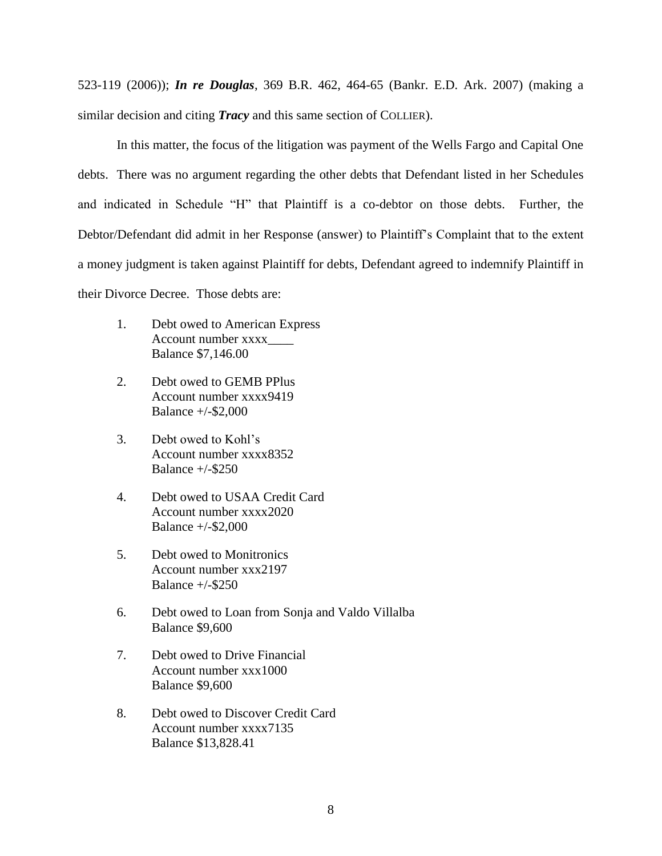523-119 (2006)); *In re Douglas*, 369 B.R. 462, 464-65 (Bankr. E.D. Ark. 2007) (making a similar decision and citing *Tracy* and this same section of COLLIER).

In this matter, the focus of the litigation was payment of the Wells Fargo and Capital One debts. There was no argument regarding the other debts that Defendant listed in her Schedules and indicated in Schedule "H" that Plaintiff is a co-debtor on those debts. Further, the Debtor/Defendant did admit in her Response (answer) to Plaintiff's Complaint that to the extent a money judgment is taken against Plaintiff for debts, Defendant agreed to indemnify Plaintiff in their Divorce Decree. Those debts are:

- 1. Debt owed to American Express Account number xxxx\_\_\_\_ Balance \$7,146.00
- 2. Debt owed to GEMB PPlus Account number xxxx9419 Balance +/-\$2,000
- 3. Debt owed to Kohl's Account number xxxx8352 Balance +/-\$250
- 4. Debt owed to USAA Credit Card Account number xxxx2020 Balance +/-\$2,000
- 5. Debt owed to Monitronics Account number xxx2197 Balance  $+/-$ \$250
- 6. Debt owed to Loan from Sonja and Valdo Villalba Balance \$9,600
- 7. Debt owed to Drive Financial Account number xxx1000 Balance \$9,600
- 8. Debt owed to Discover Credit Card Account number xxxx7135 Balance \$13,828.41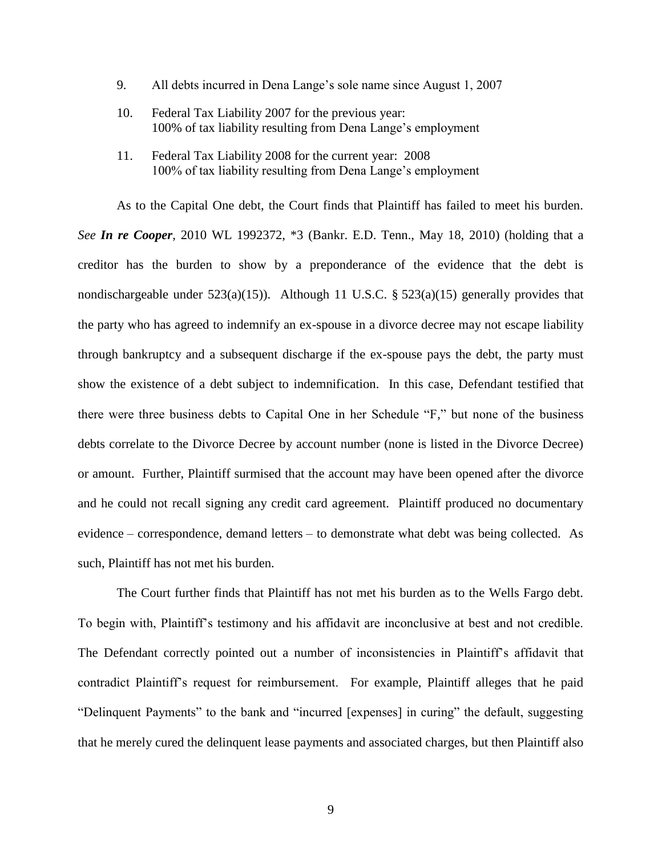- 9. All debts incurred in Dena Lange's sole name since August 1, 2007
- 10. Federal Tax Liability 2007 for the previous year: 100% of tax liability resulting from Dena Lange's employment
- 11. Federal Tax Liability 2008 for the current year: 2008 100% of tax liability resulting from Dena Lange's employment

As to the Capital One debt, the Court finds that Plaintiff has failed to meet his burden. *See In re Cooper*, 2010 WL 1992372, \*3 (Bankr. E.D. Tenn., May 18, 2010) (holding that a creditor has the burden to show by a preponderance of the evidence that the debt is nondischargeable under 523(a)(15)). Although 11 U.S.C. § 523(a)(15) generally provides that the party who has agreed to indemnify an ex-spouse in a divorce decree may not escape liability through bankruptcy and a subsequent discharge if the ex-spouse pays the debt, the party must show the existence of a debt subject to indemnification. In this case, Defendant testified that there were three business debts to Capital One in her Schedule "F," but none of the business debts correlate to the Divorce Decree by account number (none is listed in the Divorce Decree) or amount. Further, Plaintiff surmised that the account may have been opened after the divorce and he could not recall signing any credit card agreement. Plaintiff produced no documentary evidence – correspondence, demand letters – to demonstrate what debt was being collected. As such, Plaintiff has not met his burden.

The Court further finds that Plaintiff has not met his burden as to the Wells Fargo debt. To begin with, Plaintiff's testimony and his affidavit are inconclusive at best and not credible. The Defendant correctly pointed out a number of inconsistencies in Plaintiff's affidavit that contradict Plaintiff's request for reimbursement. For example, Plaintiff alleges that he paid "Delinquent Payments" to the bank and "incurred [expenses] in curing" the default, suggesting that he merely cured the delinquent lease payments and associated charges, but then Plaintiff also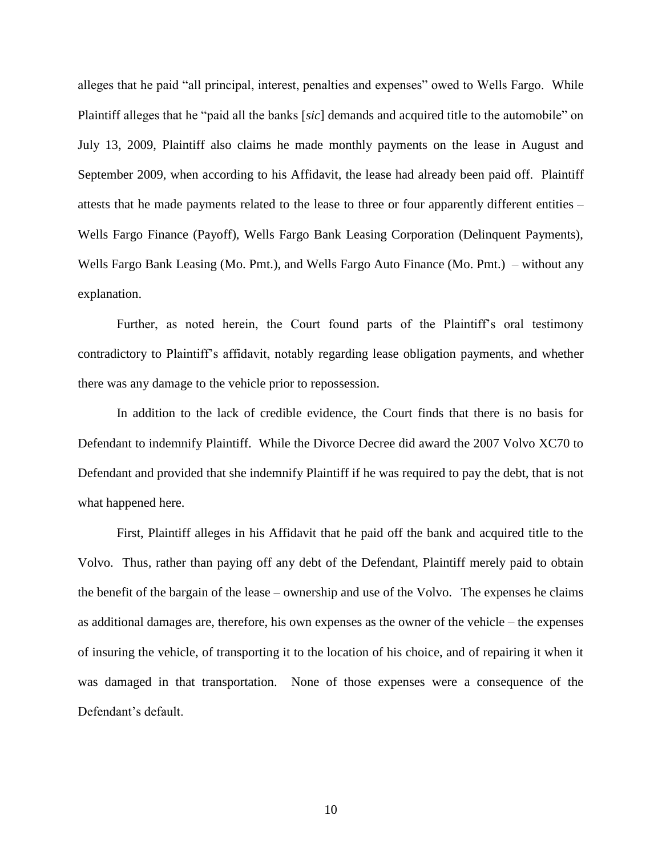alleges that he paid "all principal, interest, penalties and expenses" owed to Wells Fargo. While Plaintiff alleges that he "paid all the banks [*sic*] demands and acquired title to the automobile" on July 13, 2009, Plaintiff also claims he made monthly payments on the lease in August and September 2009, when according to his Affidavit, the lease had already been paid off. Plaintiff attests that he made payments related to the lease to three or four apparently different entities – Wells Fargo Finance (Payoff), Wells Fargo Bank Leasing Corporation (Delinquent Payments), Wells Fargo Bank Leasing (Mo. Pmt.), and Wells Fargo Auto Finance (Mo. Pmt.) – without any explanation.

Further, as noted herein, the Court found parts of the Plaintiff's oral testimony contradictory to Plaintiff's affidavit, notably regarding lease obligation payments, and whether there was any damage to the vehicle prior to repossession.

In addition to the lack of credible evidence, the Court finds that there is no basis for Defendant to indemnify Plaintiff. While the Divorce Decree did award the 2007 Volvo XC70 to Defendant and provided that she indemnify Plaintiff if he was required to pay the debt, that is not what happened here.

First, Plaintiff alleges in his Affidavit that he paid off the bank and acquired title to the Volvo. Thus, rather than paying off any debt of the Defendant, Plaintiff merely paid to obtain the benefit of the bargain of the lease – ownership and use of the Volvo. The expenses he claims as additional damages are, therefore, his own expenses as the owner of the vehicle – the expenses of insuring the vehicle, of transporting it to the location of his choice, and of repairing it when it was damaged in that transportation. None of those expenses were a consequence of the Defendant's default.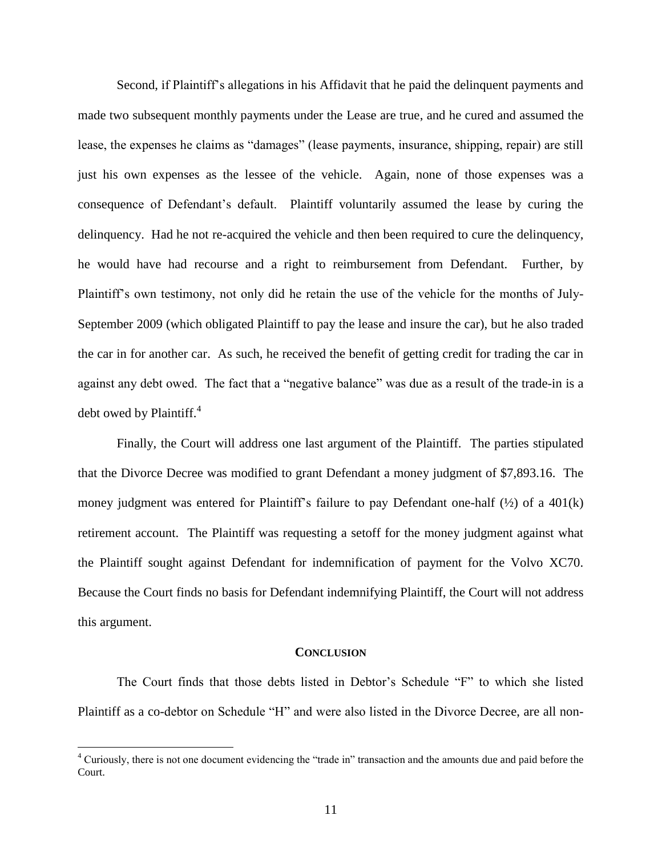Second, if Plaintiff's allegations in his Affidavit that he paid the delinquent payments and made two subsequent monthly payments under the Lease are true, and he cured and assumed the lease, the expenses he claims as "damages" (lease payments, insurance, shipping, repair) are still just his own expenses as the lessee of the vehicle. Again, none of those expenses was a consequence of Defendant's default. Plaintiff voluntarily assumed the lease by curing the delinquency. Had he not re-acquired the vehicle and then been required to cure the delinquency, he would have had recourse and a right to reimbursement from Defendant. Further, by Plaintiff's own testimony, not only did he retain the use of the vehicle for the months of July-September 2009 (which obligated Plaintiff to pay the lease and insure the car), but he also traded the car in for another car. As such, he received the benefit of getting credit for trading the car in against any debt owed. The fact that a "negative balance" was due as a result of the trade-in is a debt owed by Plaintiff. $4$ 

Finally, the Court will address one last argument of the Plaintiff. The parties stipulated that the Divorce Decree was modified to grant Defendant a money judgment of \$7,893.16. The money judgment was entered for Plaintiff's failure to pay Defendant one-half  $(\frac{1}{2})$  of a 401(k) retirement account. The Plaintiff was requesting a setoff for the money judgment against what the Plaintiff sought against Defendant for indemnification of payment for the Volvo XC70. Because the Court finds no basis for Defendant indemnifying Plaintiff, the Court will not address this argument.

#### **CONCLUSION**

The Court finds that those debts listed in Debtor's Schedule "F" to which she listed Plaintiff as a co-debtor on Schedule "H" and were also listed in the Divorce Decree, are all non-

 $\overline{a}$ 

<sup>&</sup>lt;sup>4</sup> Curiously, there is not one document evidencing the "trade in" transaction and the amounts due and paid before the Court.